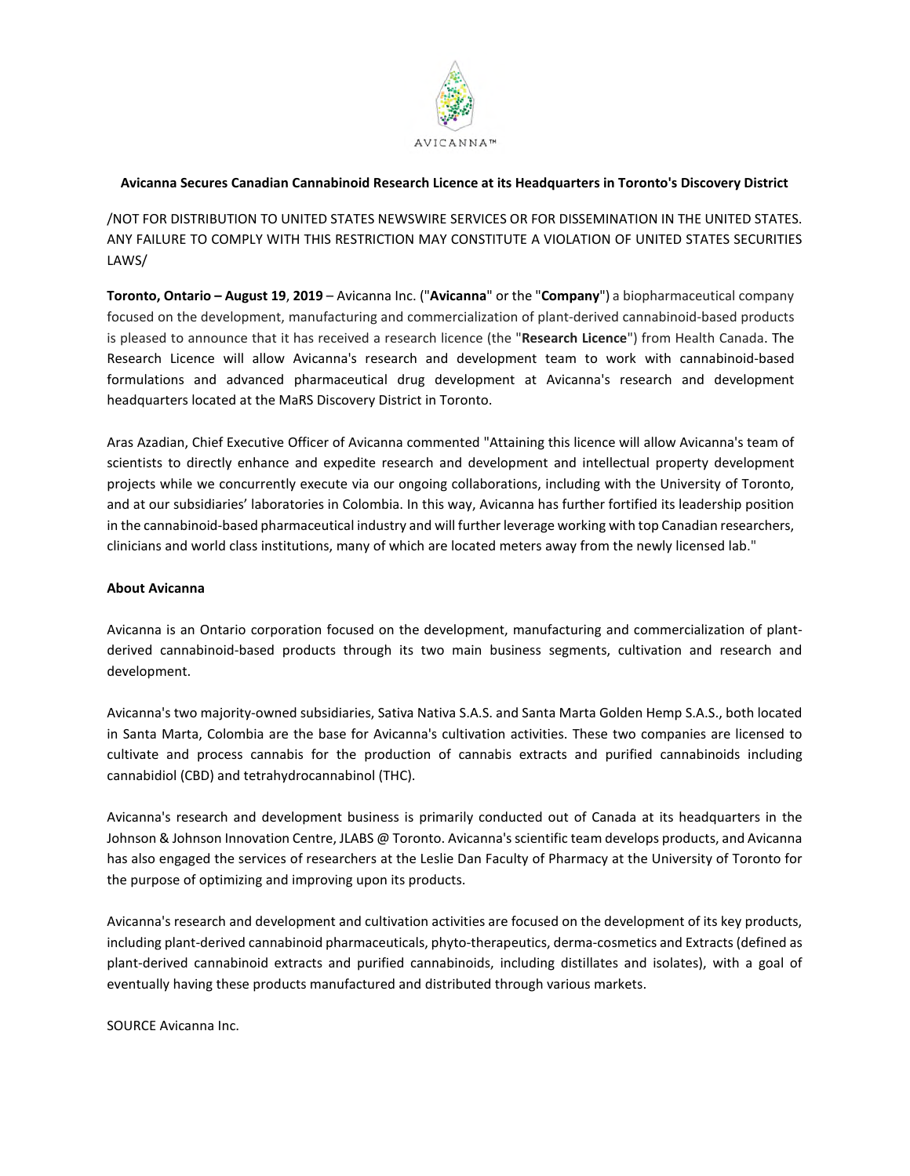

## **Avicanna Secures Canadian Cannabinoid Research Licence at its Headquarters in Toronto's Discovery District**

/NOT FOR DISTRIBUTION TO UNITED STATES NEWSWIRE SERVICES OR FOR DISSEMINATION IN THE UNITED STATES. ANY FAILURE TO COMPLY WITH THIS RESTRICTION MAY CONSTITUTE A VIOLATION OF UNITED STATES SECURITIES LAWS/

**Toronto, Ontario – August 19**, **2019** – Avicanna Inc. ("**Avicanna**" or the "**Company**") a biopharmaceutical company focused on the development, manufacturing and commercialization of plant-derived cannabinoid-based products is pleased to announce that it has received a research licence (the "**Research Licence**") from Health Canada. The Research Licence will allow Avicanna's research and development team to work with cannabinoid-based formulations and advanced pharmaceutical drug development at Avicanna's research and development headquarters located at the MaRS Discovery District in Toronto.

Aras Azadian, Chief Executive Officer of Avicanna commented "Attaining this licence will allow Avicanna's team of scientists to directly enhance and expedite research and development and intellectual property development projects while we concurrently execute via our ongoing collaborations, including with the University of Toronto, and at our subsidiaries' laboratories in Colombia. In this way, Avicanna has further fortified its leadership position in the cannabinoid-based pharmaceutical industry and will further leverage working with top Canadian researchers, clinicians and world class institutions, many of which are located meters away from the newly licensed lab."

## **About Avicanna**

Avicanna is an Ontario corporation focused on the development, manufacturing and commercialization of plantderived cannabinoid-based products through its two main business segments, cultivation and research and development.

Avicanna's two majority-owned subsidiaries, Sativa Nativa S.A.S. and Santa Marta Golden Hemp S.A.S., both located in Santa Marta, Colombia are the base for Avicanna's cultivation activities. These two companies are licensed to cultivate and process cannabis for the production of cannabis extracts and purified cannabinoids including cannabidiol (CBD) and tetrahydrocannabinol (THC).

Avicanna's research and development business is primarily conducted out of Canada at its headquarters in the Johnson & Johnson Innovation Centre, JLABS @ Toronto. Avicanna's scientific team develops products, and Avicanna has also engaged the services of researchers at the Leslie Dan Faculty of Pharmacy at the University of Toronto for the purpose of optimizing and improving upon its products.

Avicanna's research and development and cultivation activities are focused on the development of its key products, including plant-derived cannabinoid pharmaceuticals, phyto-therapeutics, derma-cosmetics and Extracts (defined as plant-derived cannabinoid extracts and purified cannabinoids, including distillates and isolates), with a goal of eventually having these products manufactured and distributed through various markets.

SOURCE Avicanna Inc.